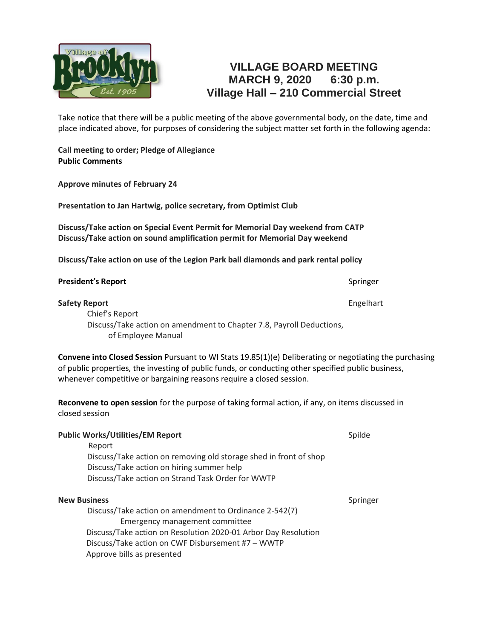

## **VILLAGE BOARD MEETING MARCH 9, 2020 6:30 p.m. Village Hall – 210 Commercial Street**

Take notice that there will be a public meeting of the above governmental body, on the date, time and place indicated above, for purposes of considering the subject matter set forth in the following agenda:

**Call meeting to order; Pledge of Allegiance Public Comments**

**Approve minutes of February 24**

**Presentation to Jan Hartwig, police secretary, from Optimist Club**

**Discuss/Take action on Special Event Permit for Memorial Day weekend from CATP Discuss/Take action on sound amplification permit for Memorial Day weekend** 

**Discuss/Take action on use of the Legion Park ball diamonds and park rental policy**

| <b>Safety Report</b>                                                 | Engelhart |
|----------------------------------------------------------------------|-----------|
| Chief's Report                                                       |           |
| Discuss/Take action on amendment to Chapter 7.8, Payroll Deductions, |           |
| of Employee Manual                                                   |           |

**Convene into Closed Session** Pursuant to WI Stats 19.85(1)(e) Deliberating or negotiating the purchasing of public properties, the investing of public funds, or conducting other specified public business, whenever competitive or bargaining reasons require a closed session.

**Reconvene to open session** for the purpose of taking formal action, if any, on items discussed in closed session

| <b>Public Works/Utilities/EM Report</b>                           | Spilde   |
|-------------------------------------------------------------------|----------|
| Report                                                            |          |
| Discuss/Take action on removing old storage shed in front of shop |          |
| Discuss/Take action on hiring summer help                         |          |
| Discuss/Take action on Strand Task Order for WWTP                 |          |
| <b>New Business</b>                                               | Springer |
| Discuss/Take action on amendment to Ordinance 2-542(7)            |          |
| Emergency management committee                                    |          |
| Discuss/Take action on Resolution 2020-01 Arbor Day Resolution    |          |
| Discuss/Take action on CWF Disbursement #7 - WWTP                 |          |
| Approve bills as presented                                        |          |

**President's Report** Springer Springer Springer Springer Springer Springer Springer Springer Springer Springer Springer Springer Springer Springer Springer Springer Springer Springer Springer Springer Springer Springer Spr